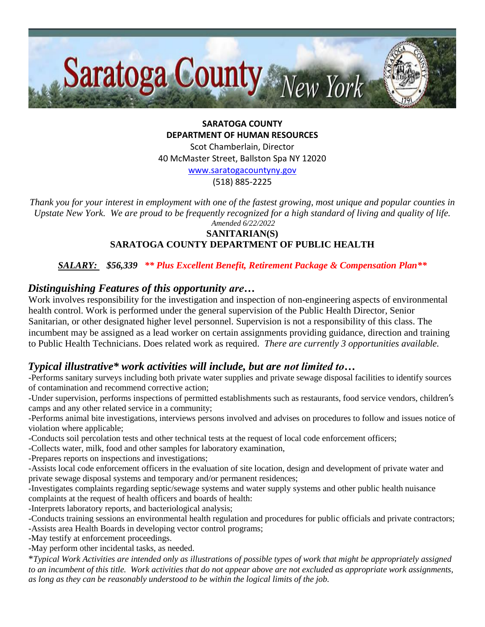

**SARATOGA COUNTY DEPARTMENT OF HUMAN RESOURCES**

Scot Chamberlain, Director 40 McMaster Street, Ballston Spa NY 12020

[www.saratogacountyny.gov](http://www.saratogacountyny.gov/)

(518) 885-2225

*Thank you for your interest in employment with one of the fastest growing, most unique and popular counties in Upstate New York. We are proud to be frequently recognized for a high standard of living and quality of life. Amended 6/22/2022* 

## **SANITARIAN(S) SARATOGA COUNTY DEPARTMENT OF PUBLIC HEALTH**

*SALARY: \$56,339 \*\* Plus Excellent Benefit, Retirement Package & Compensation Plan\*\**

# *Distinguishing Features of this opportunity are…*

Work involves responsibility for the investigation and inspection of non-engineering aspects of environmental health control. Work is performed under the general supervision of the Public Health Director, Senior Sanitarian, or other designated higher level personnel. Supervision is not a responsibility of this class. The incumbent may be assigned as a lead worker on certain assignments providing guidance, direction and training to Public Health Technicians. Does related work as required. *There are currently 3 opportunities available.*

# *Typical illustrative\* work activities will include, but are not limited to…*

-Performs sanitary surveys including both private water supplies and private sewage disposal facilities to identify sources of contamination and recommend corrective action;

-Under supervision, performs inspections of permitted establishments such as restaurants, food service vendors, children's camps and any other related service in a community;

-Performs animal bite investigations, interviews persons involved and advises on procedures to follow and issues notice of violation where applicable;

-Conducts soil percolation tests and other technical tests at the request of local code enforcement officers;

-Collects water, milk, food and other samples for laboratory examination,

-Prepares reports on inspections and investigations;

-Assists local code enforcement officers in the evaluation of site location, design and development of private water and private sewage disposal systems and temporary and/or permanent residences;

-Investigates complaints regarding septic/sewage systems and water supply systems and other public health nuisance complaints at the request of health officers and boards of health:

-Interprets laboratory reports, and bacteriological analysis;

-Conducts training sessions an environmental health regulation and procedures for public officials and private contractors; -Assists area Health Boards in developing vector control programs;

-May testify at enforcement proceedings.

-May perform other incidental tasks, as needed.

\**Typical Work Activities are intended only as illustrations of possible types of work that might be appropriately assigned to an incumbent of this title. Work activities that do not appear above are not excluded as appropriate work assignments, as long as they can be reasonably understood to be within the logical limits of the job.*